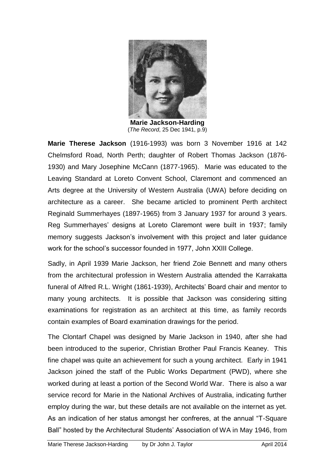

**Marie Jackson-Harding** (*The Record*, 25 Dec 1941, p.9)

**Marie Therese Jackson** (1916-1993) was born 3 November 1916 at 142 Chelmsford Road, North Perth; daughter of Robert Thomas Jackson (1876- 1930) and Mary Josephine McCann (1877-1965). Marie was educated to the Leaving Standard at Loreto Convent School, Claremont and commenced an Arts degree at the University of Western Australia (UWA) before deciding on architecture as a career. She became articled to prominent Perth architect Reginald Summerhayes (1897-1965) from 3 January 1937 for around 3 years. Reg Summerhayes" designs at Loreto Claremont were built in 1937; family memory suggests Jackson"s involvement with this project and later guidance work for the school"s successor founded in 1977, John XXIII College.

Sadly, in April 1939 Marie Jackson, her friend Zoie Bennett and many others from the architectural profession in Western Australia attended the Karrakatta funeral of Alfred R.L. Wright (1861-1939), Architects' Board chair and mentor to many young architects. It is possible that Jackson was considering sitting examinations for registration as an architect at this time, as family records contain examples of Board examination drawings for the period.

The Clontarf Chapel was designed by Marie Jackson in 1940, after she had been introduced to the superior, Christian Brother Paul Francis Keaney. This fine chapel was quite an achievement for such a young architect. Early in 1941 Jackson joined the staff of the Public Works Department (PWD), where she worked during at least a portion of the Second World War. There is also a war service record for Marie in the National Archives of Australia, indicating further employ during the war, but these details are not available on the internet as yet. As an indication of her status amongst her confreres, at the annual "T-Square Ball" hosted by the Architectural Students' Association of WA in May 1946, from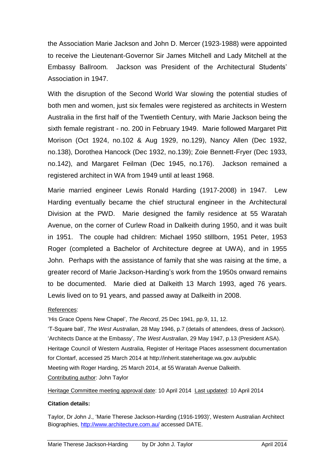the Association Marie Jackson and John D. Mercer (1923-1988) were appointed to receive the Lieutenant-Governor Sir James Mitchell and Lady Mitchell at the Embassy Ballroom. Jackson was President of the Architectural Students" Association in 1947.

With the disruption of the Second World War slowing the potential studies of both men and women, just six females were registered as architects in Western Australia in the first half of the Twentieth Century, with Marie Jackson being the sixth female registrant - no. 200 in February 1949. Marie followed Margaret Pitt Morison (Oct 1924, no.102 & Aug 1929, no.129), Nancy Allen (Dec 1932, no.138), Dorothea Hancock (Dec 1932, no.139); Zoie Bennett-Fryer (Dec 1933, no.142), and Margaret Feilman (Dec 1945, no.176). Jackson remained a registered architect in WA from 1949 until at least 1968.

Marie married engineer Lewis Ronald Harding (1917-2008) in 1947. Lew Harding eventually became the chief structural engineer in the Architectural Division at the PWD. Marie designed the family residence at 55 Waratah Avenue, on the corner of Curlew Road in Dalkeith during 1950, and it was built in 1951. The couple had children: Michael 1950 stillborn, 1951 Peter, 1953 Roger (completed a Bachelor of Architecture degree at UWA), and in 1955 John. Perhaps with the assistance of family that she was raising at the time, a greater record of Marie Jackson-Harding"s work from the 1950s onward remains to be documented. Marie died at Dalkeith 13 March 1993, aged 76 years. Lewis lived on to 91 years, and passed away at Dalkeith in 2008.

## References:

"His Grace Opens New Chapel", *The Record*, 25 Dec 1941, pp.9, 11, 12.

"T-Square ball", *The West Australian*, 28 May 1946, p.7 (details of attendees, dress of Jackson). "Architects Dance at the Embassy", *The West Australian*, 29 May 1947, p.13 (President ASA). Heritage Council of Western Australia, Register of Heritage Places assessment documentation for Clontarf, accessed 25 March 2014 at http://inherit.stateheritage.wa.gov.au/public Meeting with Roger Harding, 25 March 2014, at 55 Waratah Avenue Dalkeith. Contributing author: John Taylor

Heritage Committee meeting approval date: 10 April 2014 Last updated: 10 April 2014

## **Citation details:**

Taylor, Dr John J., "Marie Therese Jackson-Harding (1916-1993)', Western Australian Architect Biographies,<http://www.architecture.com.au/> accessed DATE.